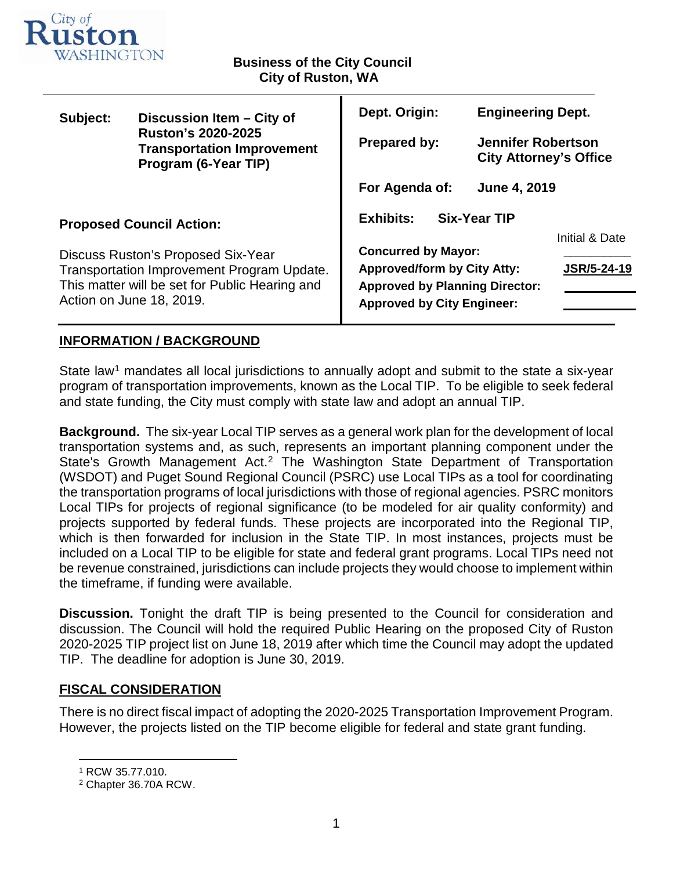

## **Business of the City Council City of Ruston, WA**

| Subject:                                                                                                                                                                                          | Discussion Item - City of<br><b>Ruston's 2020-2025</b><br><b>Transportation Improvement</b><br>Program (6-Year TIP) | Dept. Origin:                                                              | <b>Engineering Dept.</b>  |                               |  |  |
|---------------------------------------------------------------------------------------------------------------------------------------------------------------------------------------------------|---------------------------------------------------------------------------------------------------------------------|----------------------------------------------------------------------------|---------------------------|-------------------------------|--|--|
|                                                                                                                                                                                                   |                                                                                                                     | <b>Prepared by:</b>                                                        | <b>Jennifer Robertson</b> | <b>City Attorney's Office</b> |  |  |
|                                                                                                                                                                                                   |                                                                                                                     | <b>June 4, 2019</b><br>For Agenda of:                                      |                           |                               |  |  |
| <b>Proposed Council Action:</b><br>Discuss Ruston's Proposed Six-Year<br>Transportation Improvement Program Update.<br>This matter will be set for Public Hearing and<br>Action on June 18, 2019. |                                                                                                                     | <b>Exhibits:</b><br><b>Six-Year TIP</b>                                    |                           |                               |  |  |
|                                                                                                                                                                                                   |                                                                                                                     | <b>Concurred by Mayor:</b>                                                 |                           | Initial & Date                |  |  |
|                                                                                                                                                                                                   |                                                                                                                     | <b>Approved/form by City Atty:</b>                                         | <b>JSR/5-24-19</b>        |                               |  |  |
|                                                                                                                                                                                                   |                                                                                                                     | <b>Approved by Planning Director:</b><br><b>Approved by City Engineer:</b> |                           |                               |  |  |
|                                                                                                                                                                                                   |                                                                                                                     |                                                                            |                           |                               |  |  |

## **INFORMATION / BACKGROUND**

State law<sup>[1](#page-0-0)</sup> mandates all local jurisdictions to annually adopt and submit to the state a six-year program of transportation improvements, known as the Local TIP. To be eligible to seek federal and state funding, the City must comply with state law and adopt an annual TIP.

**Background.** The six-year Local TIP serves as a general work plan for the development of local transportation systems and, as such, represents an important planning component under the State's Growth Management Act.<sup>[2](#page-0-1)</sup> The Washington State Department of Transportation (WSDOT) and Puget Sound Regional Council (PSRC) use Local TIPs as a tool for coordinating the transportation programs of local jurisdictions with those of regional agencies. PSRC monitors Local TIPs for projects of regional significance (to be modeled for air quality conformity) and projects supported by federal funds. These projects are incorporated into the Regional TIP, which is then forwarded for inclusion in the State TIP. In most instances, projects must be included on a Local TIP to be eligible for state and federal grant programs. Local TIPs need not be revenue constrained, jurisdictions can include projects they would choose to implement within the timeframe, if funding were available.

**Discussion.** Tonight the draft TIP is being presented to the Council for consideration and discussion. The Council will hold the required Public Hearing on the proposed City of Ruston 2020-2025 TIP project list on June 18, 2019 after which time the Council may adopt the updated TIP. The deadline for adoption is June 30, 2019.

## **FISCAL CONSIDERATION**

There is no direct fiscal impact of adopting the 2020-2025 Transportation Improvement Program. However, the projects listed on the TIP become eligible for federal and state grant funding.

<span id="page-0-0"></span> <sup>1</sup> RCW 35.77.010.

<span id="page-0-1"></span><sup>2</sup> Chapter 36.70A RCW.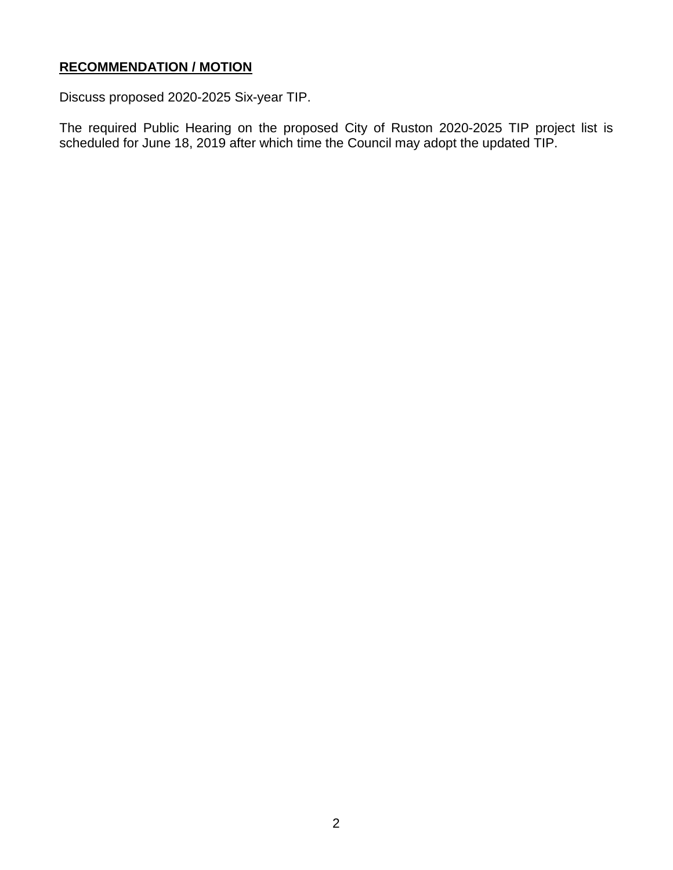## **RECOMMENDATION / MOTION**

Discuss proposed 2020-2025 Six-year TIP.

The required Public Hearing on the proposed City of Ruston 2020-2025 TIP project list is scheduled for June 18, 2019 after which time the Council may adopt the updated TIP.